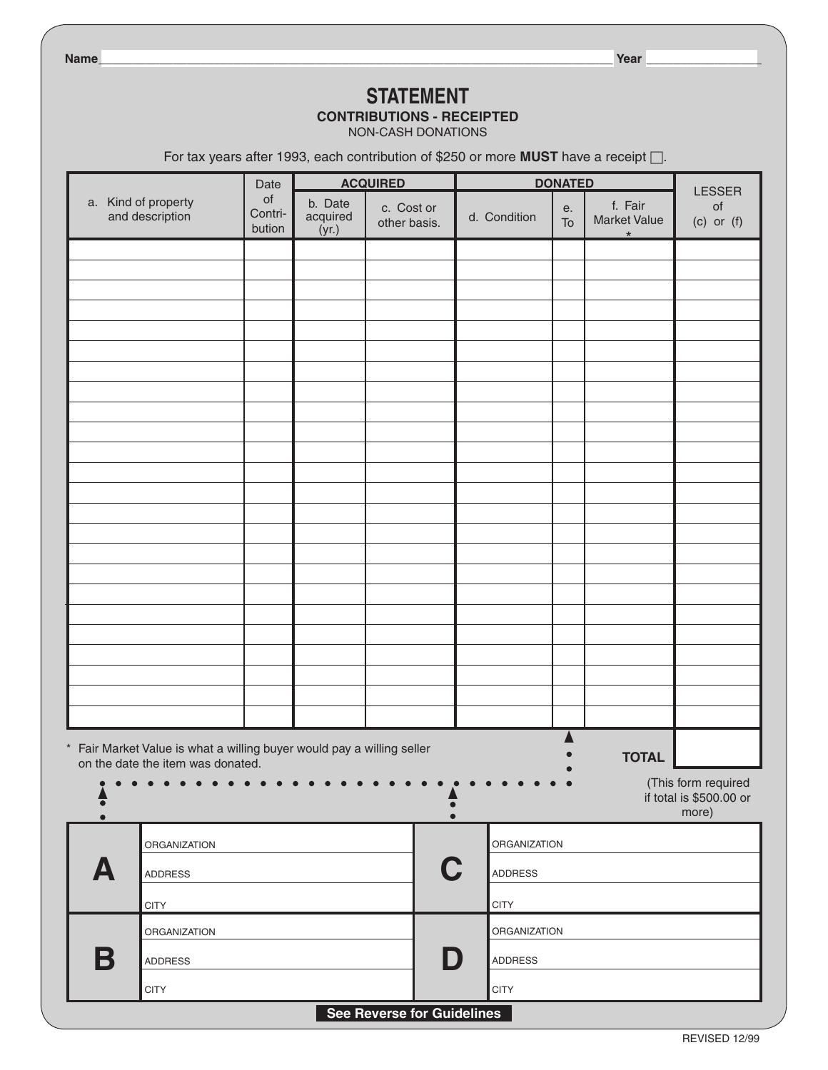**Name\_\_\_\_\_\_\_\_\_\_\_\_\_\_\_\_\_\_\_\_\_\_\_\_\_\_\_\_\_\_\_\_\_\_\_\_\_\_\_\_\_\_\_\_\_\_\_\_\_\_\_\_\_\_\_\_\_\_\_\_\_\_\_\_\_\_\_\_\_\_\_\_\_\_\_\_ Year \_\_\_\_\_\_\_\_\_\_\_\_\_\_\_\_\_**

# **STATEMENT CONTRIBUTIONS - RECEIPTED**

NON-CASH DONATIONS

For tax years after 1993, each contribution of \$250 or more **Must** have a receipt □.

| a. Kind of property<br>and description |                                                                                                                             | Date                    | <b>ACQUIRED</b>              |                            | <b>DONATED</b>                                                                                                                  |          |                                           | <b>LESSER</b>                                           |
|----------------------------------------|-----------------------------------------------------------------------------------------------------------------------------|-------------------------|------------------------------|----------------------------|---------------------------------------------------------------------------------------------------------------------------------|----------|-------------------------------------------|---------------------------------------------------------|
|                                        |                                                                                                                             | of<br>Contri-<br>bution | b. Date<br>acquired<br>(yr.) | c. Cost or<br>other basis. | d. Condition                                                                                                                    | е.<br>To | f. Fair<br><b>Market Value</b><br>$\star$ | of<br>$(c)$ or $(f)$                                    |
|                                        |                                                                                                                             |                         |                              |                            |                                                                                                                                 |          |                                           |                                                         |
|                                        |                                                                                                                             |                         |                              |                            |                                                                                                                                 |          |                                           |                                                         |
|                                        |                                                                                                                             |                         |                              |                            |                                                                                                                                 |          |                                           |                                                         |
|                                        |                                                                                                                             |                         |                              |                            |                                                                                                                                 |          |                                           |                                                         |
|                                        |                                                                                                                             |                         |                              |                            |                                                                                                                                 |          |                                           |                                                         |
|                                        |                                                                                                                             |                         |                              |                            |                                                                                                                                 |          |                                           |                                                         |
|                                        |                                                                                                                             |                         |                              |                            |                                                                                                                                 |          |                                           |                                                         |
|                                        |                                                                                                                             |                         |                              |                            |                                                                                                                                 |          |                                           |                                                         |
|                                        |                                                                                                                             |                         |                              |                            |                                                                                                                                 |          |                                           |                                                         |
|                                        |                                                                                                                             |                         |                              |                            |                                                                                                                                 |          |                                           |                                                         |
|                                        |                                                                                                                             |                         |                              |                            |                                                                                                                                 |          |                                           |                                                         |
|                                        |                                                                                                                             |                         |                              |                            |                                                                                                                                 |          |                                           |                                                         |
|                                        |                                                                                                                             |                         |                              |                            |                                                                                                                                 |          |                                           |                                                         |
|                                        |                                                                                                                             |                         |                              |                            |                                                                                                                                 |          |                                           |                                                         |
|                                        |                                                                                                                             |                         |                              |                            |                                                                                                                                 |          |                                           |                                                         |
|                                        |                                                                                                                             |                         |                              |                            |                                                                                                                                 |          |                                           |                                                         |
|                                        |                                                                                                                             |                         |                              |                            |                                                                                                                                 |          |                                           |                                                         |
|                                        |                                                                                                                             |                         |                              |                            |                                                                                                                                 |          |                                           |                                                         |
|                                        |                                                                                                                             |                         |                              |                            |                                                                                                                                 |          |                                           |                                                         |
|                                        |                                                                                                                             |                         |                              |                            |                                                                                                                                 |          |                                           |                                                         |
|                                        | * Fair Market Value is what a willing buyer would pay a willing seller<br><b>TOTAL</b><br>on the date the item was donated. |                         |                              |                            |                                                                                                                                 |          |                                           |                                                         |
| $\overline{\bullet}$<br>$\bullet$      | $\bullet$                                                                                                                   |                         |                              | $\bullet$<br>$\bullet$     | $\begin{array}{ccccccccccccccccc} \bullet & \bullet & \bullet & \bullet & \bullet & \bullet & \bullet \end{array}$<br>$\bullet$ |          |                                           | (This form required<br>if total is \$500.00 or<br>more) |
|                                        | <b>ORGANIZATION</b>                                                                                                         |                         |                              |                            | ORGANIZATION                                                                                                                    |          |                                           |                                                         |
| Д                                      | <b>ADDRESS</b>                                                                                                              | C                       |                              | <b>ADDRESS</b>             |                                                                                                                                 |          |                                           |                                                         |
|                                        | <b>CITY</b>                                                                                                                 |                         |                              |                            |                                                                                                                                 |          |                                           |                                                         |
|                                        | ORGANIZATION                                                                                                                |                         |                              |                            | ORGANIZATION                                                                                                                    |          |                                           |                                                         |
| B<br><b>ADDRESS</b>                    |                                                                                                                             | D                       |                              |                            | <b>ADDRESS</b>                                                                                                                  |          |                                           |                                                         |
|                                        | <b>CITY</b>                                                                                                                 |                         |                              |                            | <b>CITY</b>                                                                                                                     |          |                                           |                                                         |
| See Reverse for Guidelines             |                                                                                                                             |                         |                              |                            |                                                                                                                                 |          |                                           |                                                         |

#### **See Reverse for Guidelines**